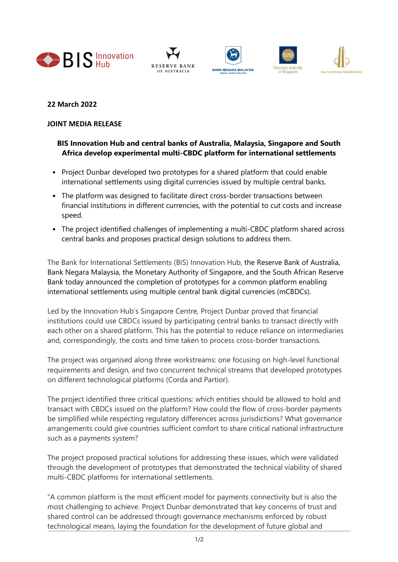









## **22 March 2022**

## **JOINT MEDIA RELEASE**

## **BIS Innovation Hub and central banks of Australia, Malaysia, Singapore and South Africa develop experimental multi-CBDC platform for international settlements**

- Project Dunbar developed two prototypes for a shared platform that could enable international settlements using digital currencies issued by multiple central banks.
- The platform was designed to facilitate direct cross-border transactions between financial institutions in different currencies, with the potential to cut costs and increase speed.
- The project identified challenges of implementing a multi-CBDC platform shared across central banks and proposes practical design solutions to address them.

The Bank for International Settlements (BIS) Innovation Hub, the Reserve Bank of Australia, Bank Negara Malaysia, the Monetary Authority of Singapore, and the South African Reserve Bank today announced the completion of prototypes for a common platform enabling international settlements using multiple central bank digital currencies (mCBDCs).

Led by the Innovation Hub's Singapore Centre, Project Dunbar proved that financial institutions could use CBDCs issued by participating central banks to transact directly with each other on a shared platform. This has the potential to reduce reliance on intermediaries and, correspondingly, the costs and time taken to process cross-border transactions.

The project was organised along three workstreams: one focusing on high-level functional requirements and design, and two concurrent technical streams that developed prototypes on different technological platforms (Corda and Partior).

The project identified three critical questions: which entities should be allowed to hold and transact with CBDCs issued on the platform? How could the flow of cross-border payments be simplified while respecting regulatory differences across jurisdictions? What governance arrangements could give countries sufficient comfort to share critical national infrastructure such as a payments system?

The project proposed practical solutions for addressing these issues, which were validated through the development of prototypes that demonstrated the technical viability of shared multi-CBDC platforms for international settlements.

"A common platform is the most efficient model for payments connectivity but is also the most challenging to achieve. Project Dunbar demonstrated that key concerns of trust and shared control can be addressed through governance mechanisms enforced by robust technological means, laying the foundation for the development of future global and